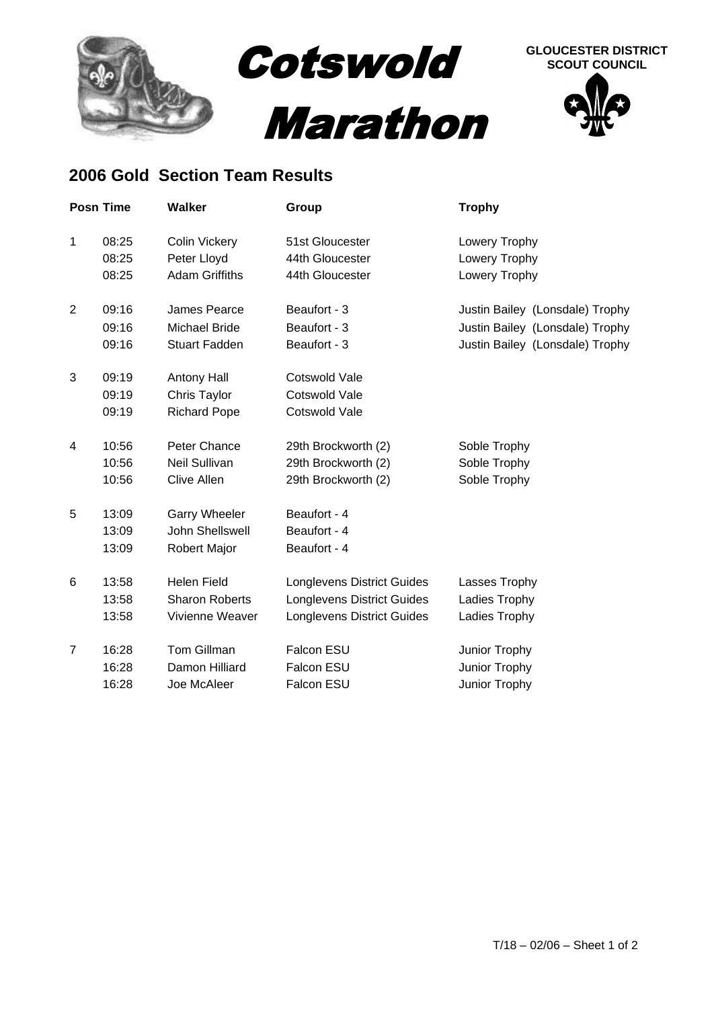

## **2006 Gold Section Team Results**

|                | <b>Posn Time</b> | <b>Walker</b>          | Group                             | <b>Trophy</b>                   |
|----------------|------------------|------------------------|-----------------------------------|---------------------------------|
| 1              | 08:25            | <b>Colin Vickery</b>   | 51st Gloucester                   | Lowery Trophy                   |
|                | 08:25            | Peter Lloyd            | 44th Gloucester                   | Lowery Trophy                   |
|                | 08:25            | <b>Adam Griffiths</b>  | 44th Gloucester                   | Lowery Trophy                   |
| $\overline{2}$ | 09:16            | James Pearce           | Beaufort - 3                      | Justin Bailey (Lonsdale) Trophy |
|                | 09:16            | <b>Michael Bride</b>   | Beaufort - 3                      | Justin Bailey (Lonsdale) Trophy |
|                | 09:16            | <b>Stuart Fadden</b>   | Beaufort - 3                      | Justin Bailey (Lonsdale) Trophy |
| 3              | 09:19            | Antony Hall            | Cotswold Vale                     |                                 |
|                | 09:19            | Chris Taylor           | Cotswold Vale                     |                                 |
|                | 09:19            | <b>Richard Pope</b>    | Cotswold Vale                     |                                 |
| 4              | 10:56            | Peter Chance           | 29th Brockworth (2)               | Soble Trophy                    |
|                | 10:56            | Neil Sullivan          | 29th Brockworth (2)               | Soble Trophy                    |
|                | 10:56            | <b>Clive Allen</b>     | 29th Brockworth (2)               | Soble Trophy                    |
| 5              | 13:09            | <b>Garry Wheeler</b>   | Beaufort - 4                      |                                 |
|                | 13:09            | <b>John Shellswell</b> | Beaufort - 4                      |                                 |
|                | 13:09            | <b>Robert Major</b>    | Beaufort - 4                      |                                 |
| 6              | 13:58            | <b>Helen Field</b>     | <b>Longlevens District Guides</b> | Lasses Trophy                   |
|                | 13:58            | <b>Sharon Roberts</b>  | <b>Longlevens District Guides</b> | Ladies Trophy                   |
|                | 13:58            | Vivienne Weaver        | <b>Longlevens District Guides</b> | Ladies Trophy                   |
| $\overline{7}$ | 16:28            | <b>Tom Gillman</b>     | Falcon ESU                        | Junior Trophy                   |
|                | 16:28            | Damon Hilliard         | Falcon ESU                        | Junior Trophy                   |
|                | 16:28            | Joe McAleer            | Falcon ESU                        | Junior Trophy                   |